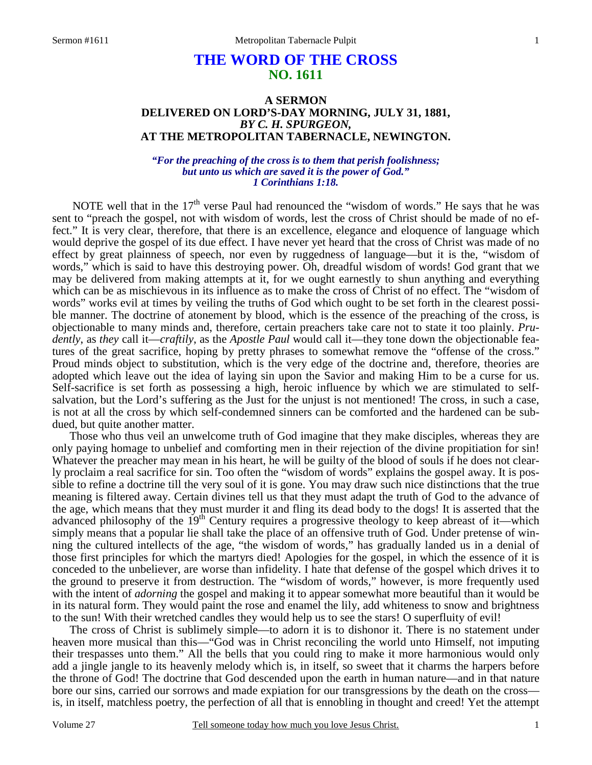# **THE WORD OF THE CROSS NO. 1611**

## **A SERMON DELIVERED ON LORD'S-DAY MORNING, JULY 31, 1881,**  *BY C. H. SPURGEON,*  **AT THE METROPOLITAN TABERNACLE, NEWINGTON.**

## *"For the preaching of the cross is to them that perish foolishness; but unto us which are saved it is the power of God." 1 Corinthians 1:18.*

NOTE well that in the  $17<sup>th</sup>$  verse Paul had renounced the "wisdom of words." He says that he was sent to "preach the gospel, not with wisdom of words, lest the cross of Christ should be made of no effect." It is very clear, therefore, that there is an excellence, elegance and eloquence of language which would deprive the gospel of its due effect. I have never yet heard that the cross of Christ was made of no effect by great plainness of speech, nor even by ruggedness of language—but it is the, "wisdom of words," which is said to have this destroying power. Oh, dreadful wisdom of words! God grant that we may be delivered from making attempts at it, for we ought earnestly to shun anything and everything which can be as mischievous in its influence as to make the cross of Christ of no effect. The "wisdom of words" works evil at times by veiling the truths of God which ought to be set forth in the clearest possible manner. The doctrine of atonement by blood, which is the essence of the preaching of the cross, is objectionable to many minds and, therefore, certain preachers take care not to state it too plainly. *Prudently*, as *they* call it—*craftily*, as the *Apostle Paul* would call it—they tone down the objectionable features of the great sacrifice, hoping by pretty phrases to somewhat remove the "offense of the cross." Proud minds object to substitution, which is the very edge of the doctrine and, therefore, theories are adopted which leave out the idea of laying sin upon the Savior and making Him to be a curse for us. Self-sacrifice is set forth as possessing a high, heroic influence by which we are stimulated to selfsalvation, but the Lord's suffering as the Just for the unjust is not mentioned! The cross, in such a case, is not at all the cross by which self-condemned sinners can be comforted and the hardened can be subdued, but quite another matter.

 Those who thus veil an unwelcome truth of God imagine that they make disciples, whereas they are only paying homage to unbelief and comforting men in their rejection of the divine propitiation for sin! Whatever the preacher may mean in his heart, he will be guilty of the blood of souls if he does not clearly proclaim a real sacrifice for sin. Too often the "wisdom of words" explains the gospel away. It is possible to refine a doctrine till the very soul of it is gone. You may draw such nice distinctions that the true meaning is filtered away. Certain divines tell us that they must adapt the truth of God to the advance of the age, which means that they must murder it and fling its dead body to the dogs! It is asserted that the advanced philosophy of the 19<sup>th</sup> Century requires a progressive theology to keep abreast of it—which simply means that a popular lie shall take the place of an offensive truth of God. Under pretense of winning the cultured intellects of the age, "the wisdom of words," has gradually landed us in a denial of those first principles for which the martyrs died! Apologies for the gospel, in which the essence of it is conceded to the unbeliever, are worse than infidelity. I hate that defense of the gospel which drives it to the ground to preserve it from destruction. The "wisdom of words," however, is more frequently used with the intent of *adorning* the gospel and making it to appear somewhat more beautiful than it would be in its natural form. They would paint the rose and enamel the lily, add whiteness to snow and brightness to the sun! With their wretched candles they would help us to see the stars! O superfluity of evil!

 The cross of Christ is sublimely simple—to adorn it is to dishonor it. There is no statement under heaven more musical than this—"God was in Christ reconciling the world unto Himself, not imputing their trespasses unto them." All the bells that you could ring to make it more harmonious would only add a jingle jangle to its heavenly melody which is, in itself, so sweet that it charms the harpers before the throne of God! The doctrine that God descended upon the earth in human nature—and in that nature bore our sins, carried our sorrows and made expiation for our transgressions by the death on the cross is, in itself, matchless poetry, the perfection of all that is ennobling in thought and creed! Yet the attempt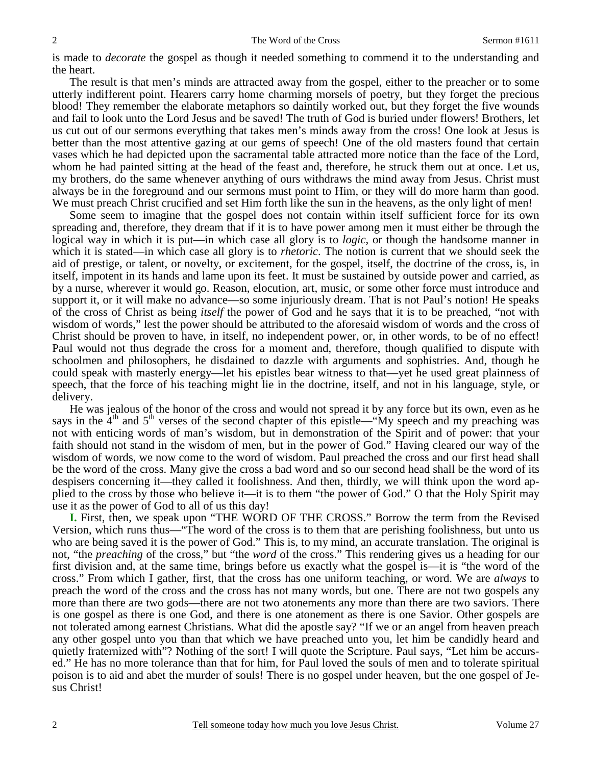is made to *decorate* the gospel as though it needed something to commend it to the understanding and the heart.

 The result is that men's minds are attracted away from the gospel, either to the preacher or to some utterly indifferent point. Hearers carry home charming morsels of poetry, but they forget the precious blood! They remember the elaborate metaphors so daintily worked out, but they forget the five wounds and fail to look unto the Lord Jesus and be saved! The truth of God is buried under flowers! Brothers, let us cut out of our sermons everything that takes men's minds away from the cross! One look at Jesus is better than the most attentive gazing at our gems of speech! One of the old masters found that certain vases which he had depicted upon the sacramental table attracted more notice than the face of the Lord, whom he had painted sitting at the head of the feast and, therefore, he struck them out at once. Let us, my brothers, do the same whenever anything of ours withdraws the mind away from Jesus. Christ must always be in the foreground and our sermons must point to Him, or they will do more harm than good. We must preach Christ crucified and set Him forth like the sun in the heavens, as the only light of men!

 Some seem to imagine that the gospel does not contain within itself sufficient force for its own spreading and, therefore, they dream that if it is to have power among men it must either be through the logical way in which it is put—in which case all glory is to *logic*, or though the handsome manner in which it is stated—in which case all glory is to *rhetoric*. The notion is current that we should seek the aid of prestige, or talent, or novelty, or excitement, for the gospel, itself, the doctrine of the cross, is, in itself, impotent in its hands and lame upon its feet. It must be sustained by outside power and carried, as by a nurse, wherever it would go. Reason, elocution, art, music, or some other force must introduce and support it, or it will make no advance—so some injuriously dream. That is not Paul's notion! He speaks of the cross of Christ as being *itself* the power of God and he says that it is to be preached, "not with wisdom of words," lest the power should be attributed to the aforesaid wisdom of words and the cross of Christ should be proven to have, in itself, no independent power, or, in other words, to be of no effect! Paul would not thus degrade the cross for a moment and, therefore, though qualified to dispute with schoolmen and philosophers, he disdained to dazzle with arguments and sophistries. And, though he could speak with masterly energy—let his epistles bear witness to that—yet he used great plainness of speech, that the force of his teaching might lie in the doctrine, itself, and not in his language, style, or delivery.

 He was jealous of the honor of the cross and would not spread it by any force but its own, even as he says in the 4<sup>th</sup> and 5<sup>th</sup> verses of the second chapter of this epistle—"My speech and my preaching was not with enticing words of man's wisdom, but in demonstration of the Spirit and of power: that your faith should not stand in the wisdom of men, but in the power of God." Having cleared our way of the wisdom of words, we now come to the word of wisdom. Paul preached the cross and our first head shall be the word of the cross. Many give the cross a bad word and so our second head shall be the word of its despisers concerning it—they called it foolishness. And then, thirdly, we will think upon the word applied to the cross by those who believe it—it is to them "the power of God." O that the Holy Spirit may use it as the power of God to all of us this day!

**I.** First, then, we speak upon "THE WORD OF THE CROSS." Borrow the term from the Revised Version, which runs thus—"The word of the cross is to them that are perishing foolishness, but unto us who are being saved it is the power of God." This is, to my mind, an accurate translation. The original is not, "the *preaching* of the cross," but "the *word* of the cross." This rendering gives us a heading for our first division and, at the same time, brings before us exactly what the gospel is—it is "the word of the cross." From which I gather, first, that the cross has one uniform teaching, or word. We are *always* to preach the word of the cross and the cross has not many words, but one. There are not two gospels any more than there are two gods—there are not two atonements any more than there are two saviors. There is one gospel as there is one God, and there is one atonement as there is one Savior. Other gospels are not tolerated among earnest Christians. What did the apostle say? "If we or an angel from heaven preach any other gospel unto you than that which we have preached unto you, let him be candidly heard and quietly fraternized with"? Nothing of the sort! I will quote the Scripture. Paul says, "Let him be accursed." He has no more tolerance than that for him, for Paul loved the souls of men and to tolerate spiritual poison is to aid and abet the murder of souls! There is no gospel under heaven, but the one gospel of Jesus Christ!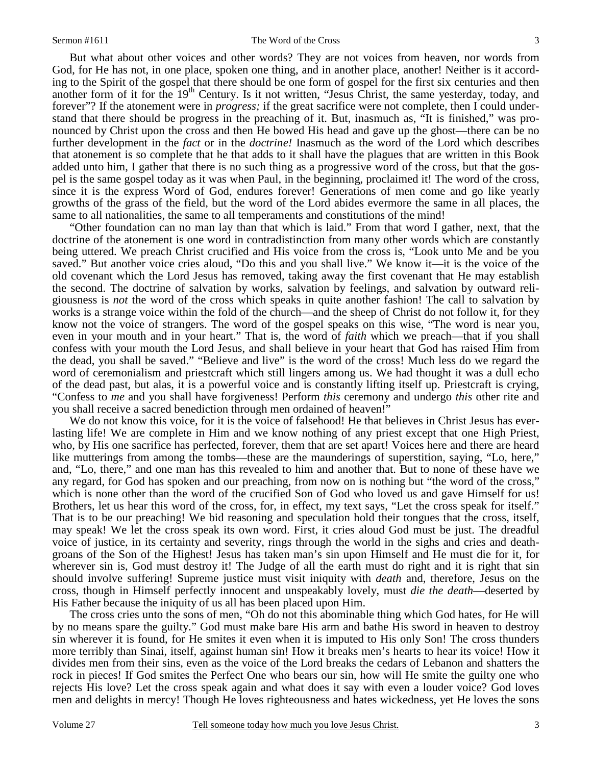But what about other voices and other words? They are not voices from heaven, nor words from God, for He has not, in one place, spoken one thing, and in another place, another! Neither is it according to the Spirit of the gospel that there should be one form of gospel for the first six centuries and then another form of it for the 19<sup>th</sup> Century. Is it not written, "Jesus Christ, the same yesterday, today, and forever"? If the atonement were in *progress;* if the great sacrifice were not complete, then I could understand that there should be progress in the preaching of it. But, inasmuch as, "It is finished," was pronounced by Christ upon the cross and then He bowed His head and gave up the ghost—there can be no further development in the *fact* or in the *doctrine!* Inasmuch as the word of the Lord which describes that atonement is so complete that he that adds to it shall have the plagues that are written in this Book added unto him, I gather that there is no such thing as a progressive word of the cross, but that the gospel is the same gospel today as it was when Paul, in the beginning, proclaimed it! The word of the cross, since it is the express Word of God, endures forever! Generations of men come and go like yearly growths of the grass of the field, but the word of the Lord abides evermore the same in all places, the same to all nationalities, the same to all temperaments and constitutions of the mind!

 "Other foundation can no man lay than that which is laid." From that word I gather, next, that the doctrine of the atonement is one word in contradistinction from many other words which are constantly being uttered. We preach Christ crucified and His voice from the cross is, "Look unto Me and be you saved." But another voice cries aloud, "Do this and you shall live." We know it—it is the voice of the old covenant which the Lord Jesus has removed, taking away the first covenant that He may establish the second. The doctrine of salvation by works, salvation by feelings, and salvation by outward religiousness is *not* the word of the cross which speaks in quite another fashion! The call to salvation by works is a strange voice within the fold of the church—and the sheep of Christ do not follow it, for they know not the voice of strangers. The word of the gospel speaks on this wise, "The word is near you, even in your mouth and in your heart." That is, the word of *faith* which we preach—that if you shall confess with your mouth the Lord Jesus, and shall believe in your heart that God has raised Him from the dead, you shall be saved." "Believe and live" is the word of the cross! Much less do we regard the word of ceremonialism and priestcraft which still lingers among us. We had thought it was a dull echo of the dead past, but alas, it is a powerful voice and is constantly lifting itself up. Priestcraft is crying, "Confess to *me* and you shall have forgiveness! Perform *this* ceremony and undergo *this* other rite and you shall receive a sacred benediction through men ordained of heaven!"

We do not know this voice, for it is the voice of falsehood! He that believes in Christ Jesus has everlasting life! We are complete in Him and we know nothing of any priest except that one High Priest, who, by His one sacrifice has perfected, forever, them that are set apart! Voices here and there are heard like mutterings from among the tombs—these are the maunderings of superstition, saying, "Lo, here," and, "Lo, there," and one man has this revealed to him and another that. But to none of these have we any regard, for God has spoken and our preaching, from now on is nothing but "the word of the cross," which is none other than the word of the crucified Son of God who loved us and gave Himself for us! Brothers, let us hear this word of the cross, for, in effect, my text says, "Let the cross speak for itself." That is to be our preaching! We bid reasoning and speculation hold their tongues that the cross, itself, may speak! We let the cross speak its own word. First, it cries aloud God must be just. The dreadful voice of justice, in its certainty and severity, rings through the world in the sighs and cries and deathgroans of the Son of the Highest! Jesus has taken man's sin upon Himself and He must die for it, for wherever sin is, God must destroy it! The Judge of all the earth must do right and it is right that sin should involve suffering! Supreme justice must visit iniquity with *death* and, therefore, Jesus on the cross, though in Himself perfectly innocent and unspeakably lovely, must *die the death*—deserted by His Father because the iniquity of us all has been placed upon Him.

 The cross cries unto the sons of men, "Oh do not this abominable thing which God hates, for He will by no means spare the guilty." God must make bare His arm and bathe His sword in heaven to destroy sin wherever it is found, for He smites it even when it is imputed to His only Son! The cross thunders more terribly than Sinai, itself, against human sin! How it breaks men's hearts to hear its voice! How it divides men from their sins, even as the voice of the Lord breaks the cedars of Lebanon and shatters the rock in pieces! If God smites the Perfect One who bears our sin, how will He smite the guilty one who rejects His love? Let the cross speak again and what does it say with even a louder voice? God loves men and delights in mercy! Though He loves righteousness and hates wickedness, yet He loves the sons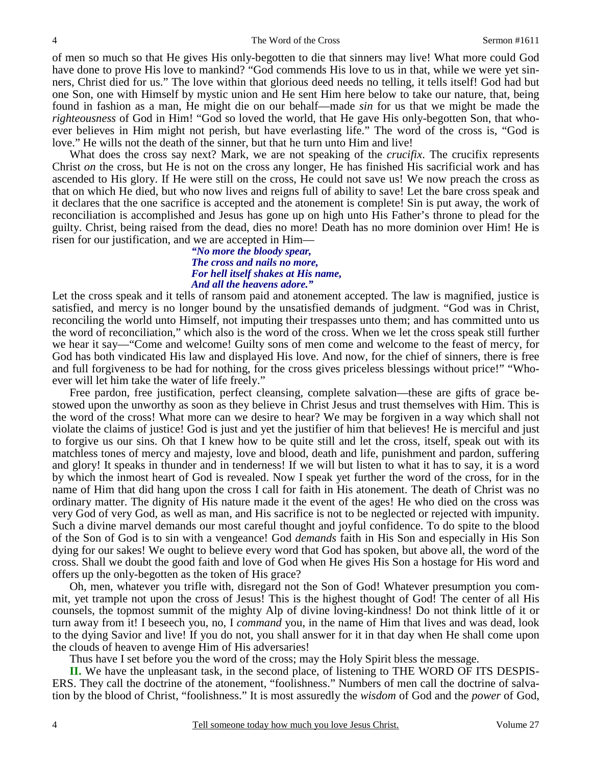of men so much so that He gives His only-begotten to die that sinners may live! What more could God have done to prove His love to mankind? "God commends His love to us in that, while we were yet sinners, Christ died for us." The love within that glorious deed needs no telling, it tells itself! God had but one Son, one with Himself by mystic union and He sent Him here below to take our nature, that, being found in fashion as a man, He might die on our behalf—made *sin* for us that we might be made the *righteousness* of God in Him! "God so loved the world, that He gave His only-begotten Son, that whoever believes in Him might not perish, but have everlasting life." The word of the cross is, "God is love." He wills not the death of the sinner, but that he turn unto Him and live!

 What does the cross say next? Mark, we are not speaking of the *crucifix*. The crucifix represents Christ *on* the cross, but He is not on the cross any longer, He has finished His sacrificial work and has ascended to His glory. If He were still on the cross, He could not save us! We now preach the cross as that on which He died, but who now lives and reigns full of ability to save! Let the bare cross speak and it declares that the one sacrifice is accepted and the atonement is complete! Sin is put away, the work of reconciliation is accomplished and Jesus has gone up on high unto His Father's throne to plead for the guilty. Christ, being raised from the dead, dies no more! Death has no more dominion over Him! He is risen for our justification, and we are accepted in Him—

#### *"No more the bloody spear, The cross and nails no more, For hell itself shakes at His name, And all the heavens adore."*

Let the cross speak and it tells of ransom paid and atonement accepted. The law is magnified, justice is satisfied, and mercy is no longer bound by the unsatisfied demands of judgment. "God was in Christ, reconciling the world unto Himself, not imputing their trespasses unto them; and has committed unto us the word of reconciliation," which also is the word of the cross. When we let the cross speak still further we hear it say—"Come and welcome! Guilty sons of men come and welcome to the feast of mercy, for God has both vindicated His law and displayed His love. And now, for the chief of sinners, there is free and full forgiveness to be had for nothing, for the cross gives priceless blessings without price!" "Whoever will let him take the water of life freely."

 Free pardon, free justification, perfect cleansing, complete salvation—these are gifts of grace bestowed upon the unworthy as soon as they believe in Christ Jesus and trust themselves with Him. This is the word of the cross! What more can we desire to hear? We may be forgiven in a way which shall not violate the claims of justice! God is just and yet the justifier of him that believes! He is merciful and just to forgive us our sins. Oh that I knew how to be quite still and let the cross, itself, speak out with its matchless tones of mercy and majesty, love and blood, death and life, punishment and pardon, suffering and glory! It speaks in thunder and in tenderness! If we will but listen to what it has to say, it is a word by which the inmost heart of God is revealed. Now I speak yet further the word of the cross, for in the name of Him that did hang upon the cross I call for faith in His atonement. The death of Christ was no ordinary matter. The dignity of His nature made it the event of the ages! He who died on the cross was very God of very God, as well as man, and His sacrifice is not to be neglected or rejected with impunity. Such a divine marvel demands our most careful thought and joyful confidence. To do spite to the blood of the Son of God is to sin with a vengeance! God *demands* faith in His Son and especially in His Son dying for our sakes! We ought to believe every word that God has spoken, but above all, the word of the cross. Shall we doubt the good faith and love of God when He gives His Son a hostage for His word and offers up the only-begotten as the token of His grace?

 Oh, men, whatever you trifle with, disregard not the Son of God! Whatever presumption you commit, yet trample not upon the cross of Jesus! This is the highest thought of God! The center of all His counsels, the topmost summit of the mighty Alp of divine loving-kindness! Do not think little of it or turn away from it! I beseech you, no, I *command* you, in the name of Him that lives and was dead, look to the dying Savior and live! If you do not, you shall answer for it in that day when He shall come upon the clouds of heaven to avenge Him of His adversaries!

Thus have I set before you the word of the cross; may the Holy Spirit bless the message.

**II.** We have the unpleasant task, in the second place, of listening to THE WORD OF ITS DESPIS-ERS. They call the doctrine of the atonement, "foolishness." Numbers of men call the doctrine of salvation by the blood of Christ, "foolishness." It is most assuredly the *wisdom* of God and the *power* of God,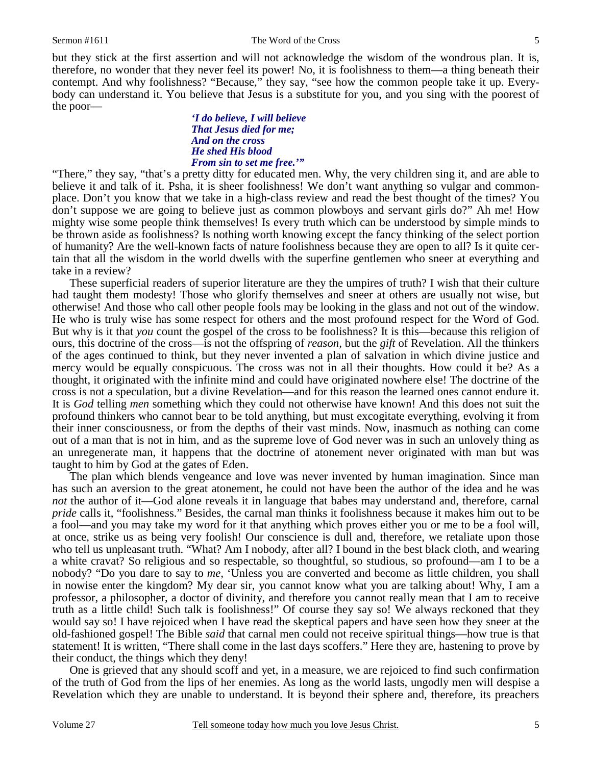but they stick at the first assertion and will not acknowledge the wisdom of the wondrous plan. It is, therefore, no wonder that they never feel its power! No, it is foolishness to them—a thing beneath their contempt. And why foolishness? "Because," they say, "see how the common people take it up. Everybody can understand it. You believe that Jesus is a substitute for you, and you sing with the poorest of the poor—

### *'I do believe, I will believe That Jesus died for me; And on the cross He shed His blood From sin to set me free.'"*

"There," they say, "that's a pretty ditty for educated men. Why, the very children sing it, and are able to believe it and talk of it. Psha, it is sheer foolishness! We don't want anything so vulgar and commonplace. Don't you know that we take in a high-class review and read the best thought of the times? You don't suppose we are going to believe just as common plowboys and servant girls do?" Ah me! How mighty wise some people think themselves! Is every truth which can be understood by simple minds to be thrown aside as foolishness? Is nothing worth knowing except the fancy thinking of the select portion of humanity? Are the well-known facts of nature foolishness because they are open to all? Is it quite certain that all the wisdom in the world dwells with the superfine gentlemen who sneer at everything and take in a review?

 These superficial readers of superior literature are they the umpires of truth? I wish that their culture had taught them modesty! Those who glorify themselves and sneer at others are usually not wise, but otherwise! And those who call other people fools may be looking in the glass and not out of the window. He who is truly wise has some respect for others and the most profound respect for the Word of God. But why is it that *you* count the gospel of the cross to be foolishness? It is this—because this religion of ours, this doctrine of the cross—is not the offspring of *reason,* but the *gift* of Revelation. All the thinkers of the ages continued to think, but they never invented a plan of salvation in which divine justice and mercy would be equally conspicuous. The cross was not in all their thoughts. How could it be? As a thought, it originated with the infinite mind and could have originated nowhere else! The doctrine of the cross is not a speculation, but a divine Revelation—and for this reason the learned ones cannot endure it. It is *God* telling *men* something which they could not otherwise have known! And this does not suit the profound thinkers who cannot bear to be told anything, but must excogitate everything, evolving it from their inner consciousness, or from the depths of their vast minds. Now, inasmuch as nothing can come out of a man that is not in him, and as the supreme love of God never was in such an unlovely thing as an unregenerate man, it happens that the doctrine of atonement never originated with man but was taught to him by God at the gates of Eden.

 The plan which blends vengeance and love was never invented by human imagination. Since man has such an aversion to the great atonement, he could not have been the author of the idea and he was *not* the author of it—God alone reveals it in language that babes may understand and, therefore, carnal *pride* calls it, "foolishness." Besides, the carnal man thinks it foolishness because it makes him out to be a fool—and you may take my word for it that anything which proves either you or me to be a fool will, at once, strike us as being very foolish! Our conscience is dull and, therefore, we retaliate upon those who tell us unpleasant truth. "What? Am I nobody, after all? I bound in the best black cloth, and wearing a white cravat? So religious and so respectable, so thoughtful, so studious, so profound—am I to be a nobody? "Do you dare to say to *me,* 'Unless you are converted and become as little children, you shall in nowise enter the kingdom? My dear sir, you cannot know what you are talking about! Why, I am a professor, a philosopher, a doctor of divinity, and therefore you cannot really mean that I am to receive truth as a little child! Such talk is foolishness!" Of course they say so! We always reckoned that they would say so! I have rejoiced when I have read the skeptical papers and have seen how they sneer at the old-fashioned gospel! The Bible *said* that carnal men could not receive spiritual things—how true is that statement! It is written, "There shall come in the last days scoffers." Here they are, hastening to prove by their conduct, the things which they deny!

 One is grieved that any should scoff and yet, in a measure, we are rejoiced to find such confirmation of the truth of God from the lips of her enemies. As long as the world lasts, ungodly men will despise a Revelation which they are unable to understand. It is beyond their sphere and, therefore, its preachers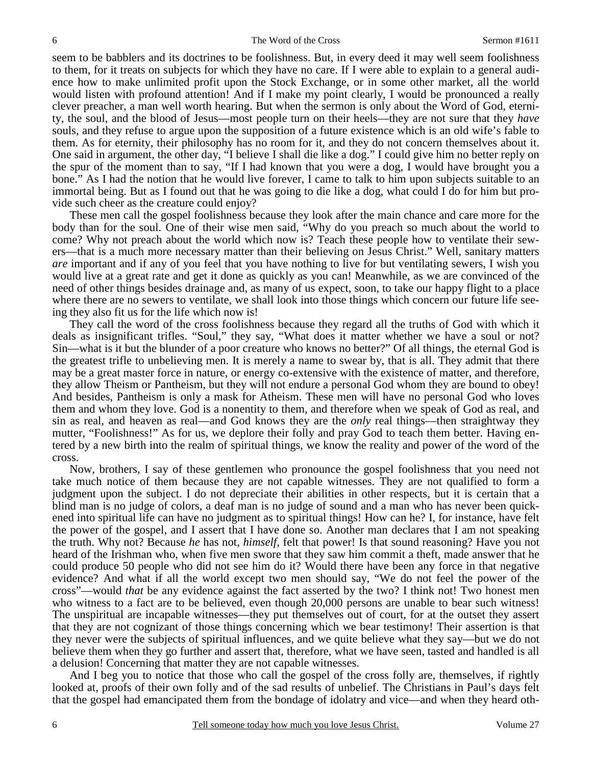seem to be babblers and its doctrines to be foolishness. But, in every deed it may well seem foolishness to them, for it treats on subjects for which they have no care. If I were able to explain to a general audience how to make unlimited profit upon the Stock Exchange, or in some other market, all the world would listen with profound attention! And if I make my point clearly, I would be pronounced a really clever preacher, a man well worth hearing. But when the sermon is only about the Word of God, eternity, the soul, and the blood of Jesus—most people turn on their heels—they are not sure that they *have* souls, and they refuse to argue upon the supposition of a future existence which is an old wife's fable to them. As for eternity, their philosophy has no room for it, and they do not concern themselves about it. One said in argument, the other day, "I believe I shall die like a dog." I could give him no better reply on the spur of the moment than to say, "If I had known that you were a dog, I would have brought you a bone." As I had the notion that he would live forever, I came to talk to him upon subjects suitable to an immortal being. But as I found out that he was going to die like a dog, what could I do for him but provide such cheer as the creature could enjoy?

 These men call the gospel foolishness because they look after the main chance and care more for the body than for the soul. One of their wise men said, "Why do you preach so much about the world to come? Why not preach about the world which now is? Teach these people how to ventilate their sewers—that is a much more necessary matter than their believing on Jesus Christ." Well, sanitary matters *are* important and if any of you feel that you have nothing to live for but ventilating sewers, I wish you would live at a great rate and get it done as quickly as you can! Meanwhile, as we are convinced of the need of other things besides drainage and, as many of us expect, soon, to take our happy flight to a place where there are no sewers to ventilate, we shall look into those things which concern our future life seeing they also fit us for the life which now is!

 They call the word of the cross foolishness because they regard all the truths of God with which it deals as insignificant trifles. "Soul," they say, "What does it matter whether we have a soul or not? Sin—what is it but the blunder of a poor creature who knows no better?" Of all things, the eternal God is the greatest trifle to unbelieving men. It is merely a name to swear by, that is all. They admit that there may be a great master force in nature, or energy co-extensive with the existence of matter, and therefore, they allow Theism or Pantheism, but they will not endure a personal God whom they are bound to obey! And besides, Pantheism is only a mask for Atheism. These men will have no personal God who loves them and whom they love. God is a nonentity to them, and therefore when we speak of God as real, and sin as real, and heaven as real—and God knows they are the *only* real things—then straightway they mutter, "Foolishness!" As for us, we deplore their folly and pray God to teach them better. Having entered by a new birth into the realm of spiritual things, we know the reality and power of the word of the cross.

 Now, brothers, I say of these gentlemen who pronounce the gospel foolishness that you need not take much notice of them because they are not capable witnesses. They are not qualified to form a judgment upon the subject. I do not depreciate their abilities in other respects, but it is certain that a blind man is no judge of colors, a deaf man is no judge of sound and a man who has never been quickened into spiritual life can have no judgment as to spiritual things! How can he? I, for instance, have felt the power of the gospel, and I assert that I have done so. Another man declares that I am not speaking the truth. Why not? Because *he* has not, *himself,* felt that power! Is that sound reasoning? Have you not heard of the Irishman who, when five men swore that they saw him commit a theft, made answer that he could produce 50 people who did not see him do it? Would there have been any force in that negative evidence? And what if all the world except two men should say, "We do not feel the power of the cross"—would *that* be any evidence against the fact asserted by the two? I think not! Two honest men who witness to a fact are to be believed, even though 20,000 persons are unable to bear such witness! The unspiritual are incapable witnesses—they put themselves out of court, for at the outset they assert that they are not cognizant of those things concerning which we bear testimony! Their assertion is that they never were the subjects of spiritual influences, and we quite believe what they say—but we do not believe them when they go further and assert that, therefore, what we have seen, tasted and handled is all a delusion! Concerning that matter they are not capable witnesses.

 And I beg you to notice that those who call the gospel of the cross folly are, themselves, if rightly looked at, proofs of their own folly and of the sad results of unbelief. The Christians in Paul's days felt that the gospel had emancipated them from the bondage of idolatry and vice—and when they heard oth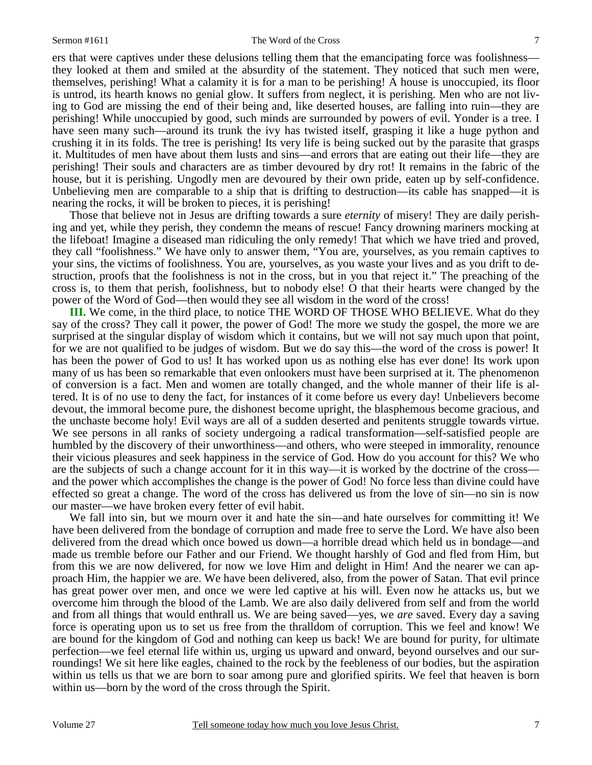ers that were captives under these delusions telling them that the emancipating force was foolishness they looked at them and smiled at the absurdity of the statement. They noticed that such men were, themselves, perishing! What a calamity it is for a man to be perishing! A house is unoccupied, its floor is untrod, its hearth knows no genial glow. It suffers from neglect, it is perishing. Men who are not living to God are missing the end of their being and, like deserted houses, are falling into ruin—they are perishing! While unoccupied by good, such minds are surrounded by powers of evil. Yonder is a tree. I have seen many such—around its trunk the ivy has twisted itself, grasping it like a huge python and crushing it in its folds. The tree is perishing! Its very life is being sucked out by the parasite that grasps it. Multitudes of men have about them lusts and sins—and errors that are eating out their life—they are perishing! Their souls and characters are as timber devoured by dry rot! It remains in the fabric of the house, but it is perishing. Ungodly men are devoured by their own pride, eaten up by self-confidence. Unbelieving men are comparable to a ship that is drifting to destruction—its cable has snapped—it is nearing the rocks, it will be broken to pieces, it is perishing!

 Those that believe not in Jesus are drifting towards a sure *eternity* of misery! They are daily perishing and yet, while they perish, they condemn the means of rescue! Fancy drowning mariners mocking at the lifeboat! Imagine a diseased man ridiculing the only remedy! That which we have tried and proved, they call "foolishness." We have only to answer them, "You are, yourselves, as you remain captives to your sins, the victims of foolishness. You are, yourselves, as you waste your lives and as you drift to destruction, proofs that the foolishness is not in the cross, but in you that reject it." The preaching of the cross is, to them that perish, foolishness, but to nobody else! O that their hearts were changed by the power of the Word of God—then would they see all wisdom in the word of the cross!

**III.** We come, in the third place, to notice THE WORD OF THOSE WHO BELIEVE. What do they say of the cross? They call it power, the power of God! The more we study the gospel, the more we are surprised at the singular display of wisdom which it contains, but we will not say much upon that point, for we are not qualified to be judges of wisdom. But we do say this—the word of the cross is power! It has been the power of God to us! It has worked upon us as nothing else has ever done! Its work upon many of us has been so remarkable that even onlookers must have been surprised at it. The phenomenon of conversion is a fact. Men and women are totally changed, and the whole manner of their life is altered. It is of no use to deny the fact, for instances of it come before us every day! Unbelievers become devout, the immoral become pure, the dishonest become upright, the blasphemous become gracious, and the unchaste become holy! Evil ways are all of a sudden deserted and penitents struggle towards virtue. We see persons in all ranks of society undergoing a radical transformation—self-satisfied people are humbled by the discovery of their unworthiness—and others, who were steeped in immorality, renounce their vicious pleasures and seek happiness in the service of God. How do you account for this? We who are the subjects of such a change account for it in this way—it is worked by the doctrine of the cross and the power which accomplishes the change is the power of God! No force less than divine could have effected so great a change. The word of the cross has delivered us from the love of sin—no sin is now our master—we have broken every fetter of evil habit.

We fall into sin, but we mourn over it and hate the sin—and hate ourselves for committing it! We have been delivered from the bondage of corruption and made free to serve the Lord. We have also been delivered from the dread which once bowed us down—a horrible dread which held us in bondage—and made us tremble before our Father and our Friend. We thought harshly of God and fled from Him, but from this we are now delivered, for now we love Him and delight in Him! And the nearer we can approach Him, the happier we are. We have been delivered, also, from the power of Satan. That evil prince has great power over men, and once we were led captive at his will. Even now he attacks us, but we overcome him through the blood of the Lamb. We are also daily delivered from self and from the world and from all things that would enthrall us. We are being saved—yes, we *are* saved. Every day a saving force is operating upon us to set us free from the thralldom of corruption. This we feel and know! We are bound for the kingdom of God and nothing can keep us back! We are bound for purity, for ultimate perfection—we feel eternal life within us, urging us upward and onward, beyond ourselves and our surroundings! We sit here like eagles, chained to the rock by the feebleness of our bodies, but the aspiration within us tells us that we are born to soar among pure and glorified spirits. We feel that heaven is born within us—born by the word of the cross through the Spirit.